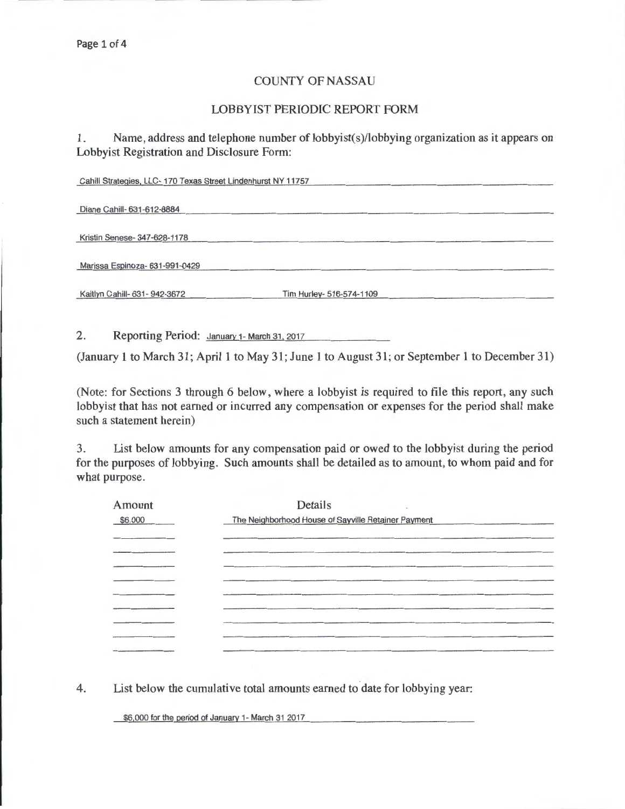## COUNTY OF NASSAU

## LOBBYIST PERIODIC REPORT FORM

1. Name, address and telephone number of lobbyist(s)/lobbying organization as it appears on Lobbyist Registration and Disclosure Form:

| Cahill Strategies, LLC-170 Texas Street Lindenhurst NY 11757 |                          |  |
|--------------------------------------------------------------|--------------------------|--|
|                                                              |                          |  |
| Diane Cahill- 631-612-8884                                   |                          |  |
|                                                              |                          |  |
| Kristin Senese- 347-628-1178                                 |                          |  |
|                                                              |                          |  |
| Marissa Espinoza- 631-991-0429                               |                          |  |
|                                                              |                          |  |
| Kaitlyn Cahill- 631- 942-3672                                | Tim Hurley- 516-574-1109 |  |
|                                                              |                          |  |

2. Reporting Period: January 1- March 31, 2017

(January 1 to March 31; April 1 to May 31; June 1 to August 31; or September 1 to December 31)

(Note: for Sections 3 through 6 below, where a lobbyist is required to file this report, any such lobbyist that has not earned or incurred any compensation or expenses for the period shall make such a statement herein)

3. List below amounts for any compensation paid or owed to the lobbyist during the period for the purposes of lobbying. Such amounts shall be detailed as to amount, to whom paid and for what purpose.

| Amount                                                                                                                                                                                                                                                                                                                                                                                                                                                                     | Details                                                                                                                                                                                                                                                                              |  |
|----------------------------------------------------------------------------------------------------------------------------------------------------------------------------------------------------------------------------------------------------------------------------------------------------------------------------------------------------------------------------------------------------------------------------------------------------------------------------|--------------------------------------------------------------------------------------------------------------------------------------------------------------------------------------------------------------------------------------------------------------------------------------|--|
| \$6,000                                                                                                                                                                                                                                                                                                                                                                                                                                                                    | The Neighborhood House of Sayville Retainer Payment<br>the control of the control of the control of the control of the control of the control of the control of the control of the control of the control of the control of the control of the control of the control of the control |  |
| $\frac{1}{2} \left( \frac{1}{2} \right) \left( \frac{1}{2} \right) \left( \frac{1}{2} \right) \left( \frac{1}{2} \right) \left( \frac{1}{2} \right) \left( \frac{1}{2} \right) \left( \frac{1}{2} \right) \left( \frac{1}{2} \right) \left( \frac{1}{2} \right) \left( \frac{1}{2} \right) \left( \frac{1}{2} \right) \left( \frac{1}{2} \right) \left( \frac{1}{2} \right) \left( \frac{1}{2} \right) \left( \frac{1}{2} \right) \left( \frac{1}{2} \right) \left( \frac$ |                                                                                                                                                                                                                                                                                      |  |
|                                                                                                                                                                                                                                                                                                                                                                                                                                                                            |                                                                                                                                                                                                                                                                                      |  |
| $\begin{tabular}{lllllllllllll} \multicolumn{2}{l}{{\color{blue}\textbf{1.5}}}&\multicolumn{2}{l}{\textbf{1.5}}&\multicolumn{2}{l}{\textbf{1.5}}&\multicolumn{2}{l}{\textbf{1.5}}&\multicolumn{2}{l}{\textbf{1.5}}&\multicolumn{2}{l}{\textbf{1.5}}&\multicolumn{2}{l}{\textbf{1.5}}&\multicolumn{2}{l}{\textbf{1.5}}&\multicolumn{2}{l}{\textbf{1.5}}&\multicolumn{2}{l}{\textbf{1.5}}&\multicolumn{2}{l}{\textbf{1.5}}&\multic$                                          |                                                                                                                                                                                                                                                                                      |  |
|                                                                                                                                                                                                                                                                                                                                                                                                                                                                            |                                                                                                                                                                                                                                                                                      |  |
|                                                                                                                                                                                                                                                                                                                                                                                                                                                                            |                                                                                                                                                                                                                                                                                      |  |
|                                                                                                                                                                                                                                                                                                                                                                                                                                                                            |                                                                                                                                                                                                                                                                                      |  |
|                                                                                                                                                                                                                                                                                                                                                                                                                                                                            |                                                                                                                                                                                                                                                                                      |  |
|                                                                                                                                                                                                                                                                                                                                                                                                                                                                            |                                                                                                                                                                                                                                                                                      |  |

4. List below the cumulative total amounts earned to date for lobbying year:

\$6,000 for the period of January 1- March 31 2017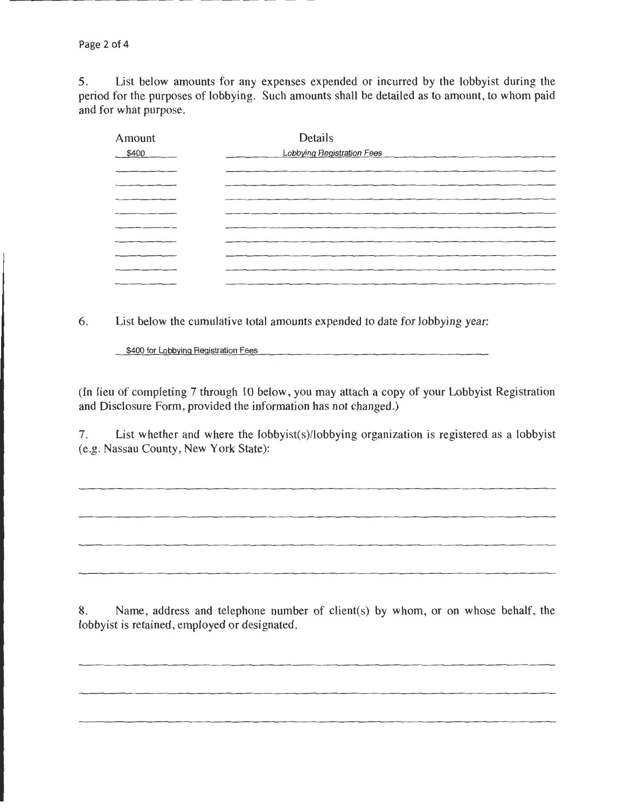5. List below amounts for any expenses expended or incurred by the lobbyist during the period for the purposes of lobbying. Such amounts shall be detailed as to amount, to whom paid and for what purpose.

| Amount | Details                                                                                                                                                                                                                       |
|--------|-------------------------------------------------------------------------------------------------------------------------------------------------------------------------------------------------------------------------------|
| \$400  | <b>Lobbying Registration Fees</b>                                                                                                                                                                                             |
| ______ |                                                                                                                                                                                                                               |
|        | the control of the control of the control of the control of the control of the control of the control of the control of the control of the control of the control of the control of the control of the control of the control |
|        |                                                                                                                                                                                                                               |
|        |                                                                                                                                                                                                                               |
|        |                                                                                                                                                                                                                               |
|        |                                                                                                                                                                                                                               |
|        | the contract of the contract of the contract of the contract of the contract of the contract of the contract of                                                                                                               |
|        |                                                                                                                                                                                                                               |
|        |                                                                                                                                                                                                                               |

6. List below the cumulative total amounts expended to date for lobbying year:

\$400 for Lobbying Registration Fees

(In lieu of completing 7 through 10 below, you may attach a copy of your Lobbyist Registration and Disclosure Form, provided the information has not changed.)

7. List whether and where the lobbyist(s)/lobbying organization is registered as a lobbyist (e.g. Nassau County, New York State):

8. Name, address and telephone number of client(s) by whom, or on whose behalf, the lobbyist is retained, employed or designated.

<u> 1980 - John Harry Barnett, mars ar yn y brening yn y brening yn y brening yn y brening yn y brening y brening</u>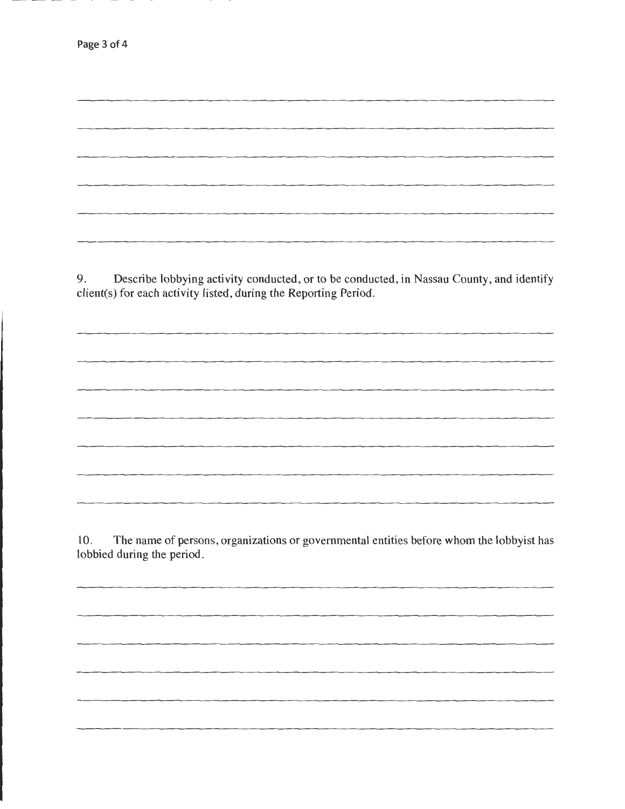9. Describe lobbying activity conducted, or to be conducted, in Nassau County, and identify client(s) for each activity listed, during the Reporting Period.

10. The name of persons, organizations or governmental entities before whom the lobbyist has lobbied during the period.

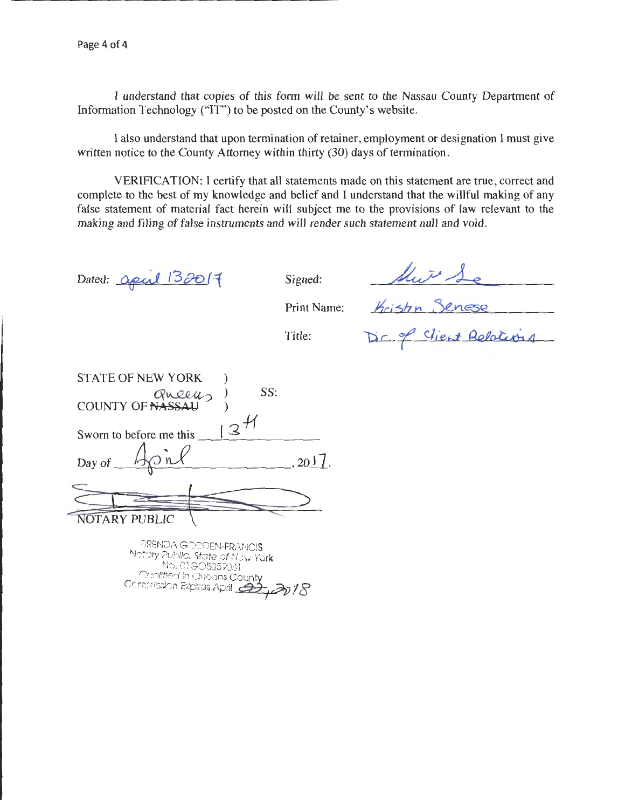I understand that copies of this form will be sent to the Nassau County Department of Information Technology ("IT") to be posted on the County's website.

I also understand that upon termination of retainer, employment or designation I must give written notice to the County Attorney within thirty (30) days of termination.

VERIFICATION: I certify that all statements made on this statement are true, correct and complete to the best of my knowledge and belief and I understand that the willful making of any false statement of material fact herein will subject me to the provisions of law relevant to the making and filing of false instruments and will render such statement null and void.

Dated:  $\alpha$ pul 132017

Signed:

their Se

Print Name:

Title:

Kristin Senese

| <b>STATE OF NEW YORK</b>        |     |    |
|---------------------------------|-----|----|
| COUNTY OF NASSAU                | SS: |    |
|                                 |     |    |
|                                 |     |    |
| Sworn to before me this         |     |    |
| Day of $\overline{\phantom{a}}$ |     | 20 |
|                                 |     |    |
|                                 |     |    |

 $\bigcup$ **NOTARY PUBLIC** 

BRENDA GODDEN-FRANCIS Notary Public, State of New York No. 01G0505908l Qualified In Queens C~ Commission Expires April *c?rJ* <sup>18</sup>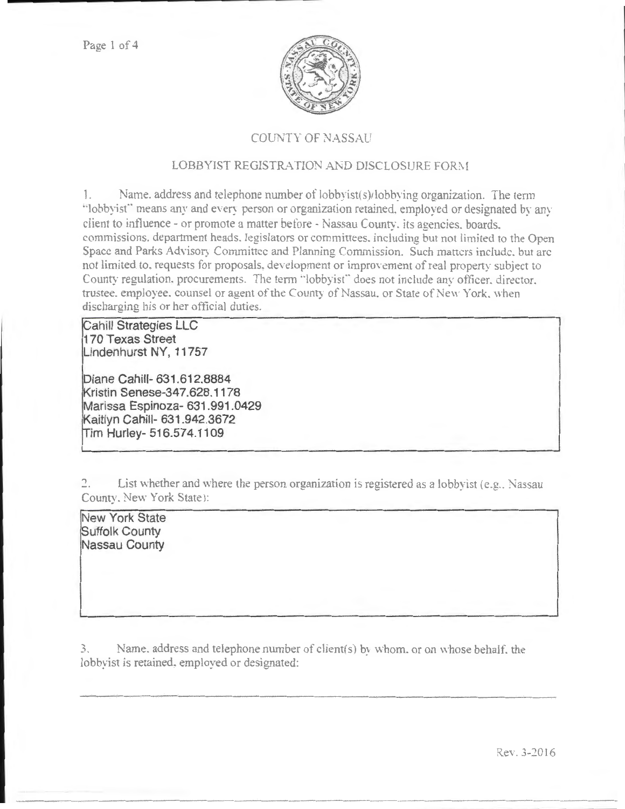

## **COUNTY OF NASSAU**

## LOBBYIST REGISTRATION AND DISCLOSURE FORM

Name, address and telephone number of lobbyist(s)/lobbying organization. The term  $\mathbb{L}$ "lobbyist" means any and every person or organization retained, employed or designated by any client to influence - or promote a matter before - Nassau County, its agencies, boards, commissions. department heads, legislators or committees, including but not limited to the Open Space and Parks Advisory Committee and Planning Commission. Such matters include, but are not limited to, requests for proposals, development or improvement of real property subject to County regulation, procurements. The term "lobbyist" does not include any officer, director, trustee, employee, counsel or agent of the County of Nassau, or State of New York, when discharging his or her official duties.

**Cahill Strategies LLC** 170 Texas Street Lindenhurst NY, 11757

Diane Cahill- 631.612.8884 Kristin Senese-347.628.1178 Marissa Espinoza-631.991.0429 Kaitlyn Cahill- 631.942.3672 Tim Hurley- 516.574.1109

 $\overline{a}$ . List whether and where the person organization is registered as a lobbyist (e.g., Nassau County, New York State):

New York State Suffolk County Nassau County

Name, address and telephone number of client(s) by whom, or on whose behalf, the  $\mathfrak{Z}$ . lobbyist is retained, employed or designated:

Rev. 3-2016